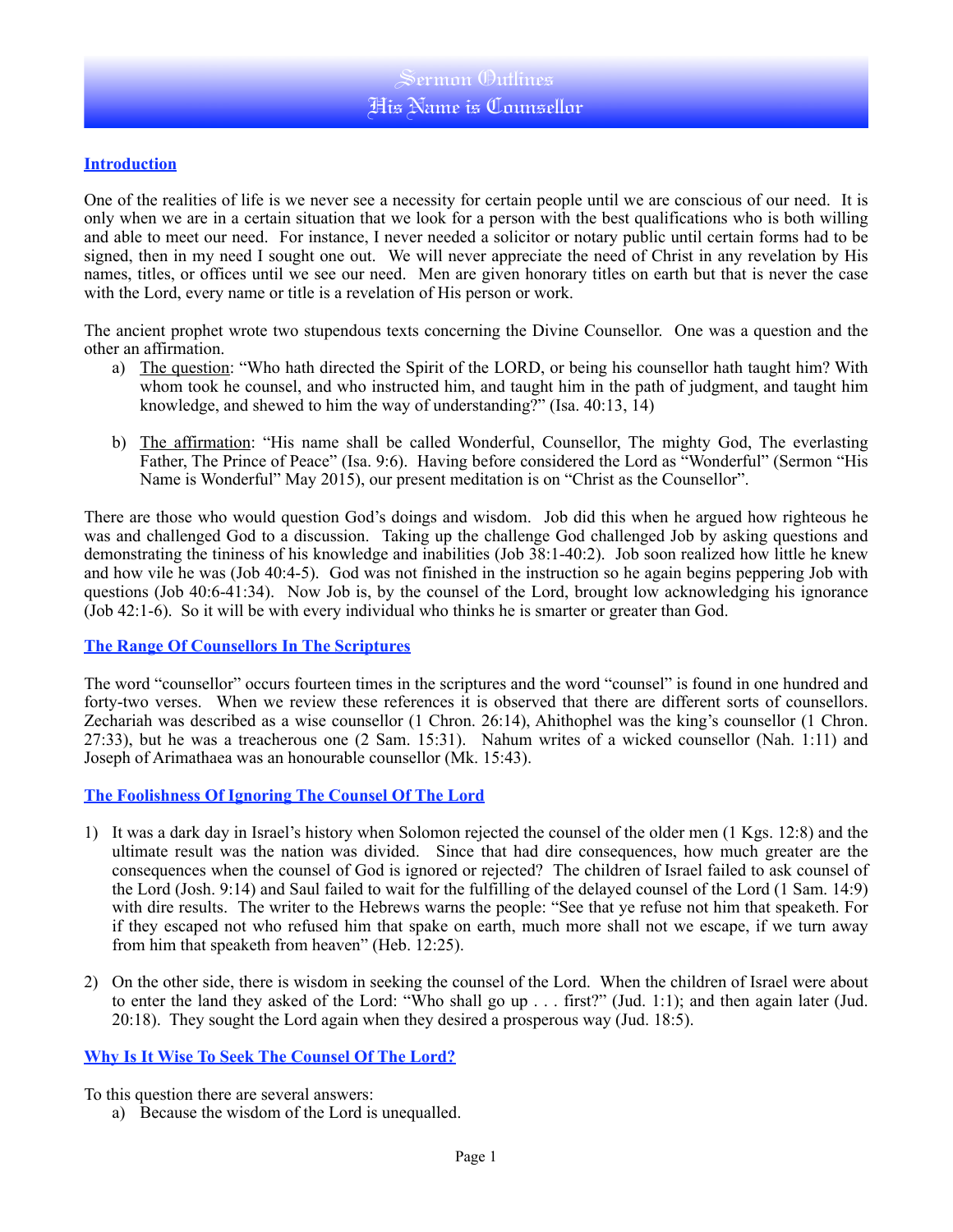#### **Introduction**

One of the realities of life is we never see a necessity for certain people until we are conscious of our need. It is only when we are in a certain situation that we look for a person with the best qualifications who is both willing and able to meet our need. For instance, I never needed a solicitor or notary public until certain forms had to be signed, then in my need I sought one out. We will never appreciate the need of Christ in any revelation by His names, titles, or offices until we see our need. Men are given honorary titles on earth but that is never the case with the Lord, every name or title is a revelation of His person or work.

The ancient prophet wrote two stupendous texts concerning the Divine Counsellor. One was a question and the other an affirmation.

- a) The question: "Who hath directed the Spirit of the LORD, or being his counsellor hath taught him? With whom took he counsel, and who instructed him, and taught him in the path of judgment, and taught him knowledge, and shewed to him the way of understanding?" (Isa. 40:13, 14)
- b) The affirmation: "His name shall be called Wonderful, Counsellor, The mighty God, The everlasting Father, The Prince of Peace" (Isa. 9:6). Having before considered the Lord as "Wonderful" (Sermon "His Name is Wonderful" May 2015), our present meditation is on "Christ as the Counsellor".

There are those who would question God's doings and wisdom. Job did this when he argued how righteous he was and challenged God to a discussion. Taking up the challenge God challenged Job by asking questions and demonstrating the tininess of his knowledge and inabilities (Job 38:1-40:2). Job soon realized how little he knew and how vile he was (Job 40:4-5). God was not finished in the instruction so he again begins peppering Job with questions (Job 40:6-41:34). Now Job is, by the counsel of the Lord, brought low acknowledging his ignorance (Job 42:1-6). So it will be with every individual who thinks he is smarter or greater than God.

### **The Range Of Counsellors In The Scriptures**

The word "counsellor" occurs fourteen times in the scriptures and the word "counsel" is found in one hundred and forty-two verses. When we review these references it is observed that there are different sorts of counsellors. Zechariah was described as a wise counsellor (1 Chron. 26:14), Ahithophel was the king's counsellor (1 Chron. 27:33), but he was a treacherous one (2 Sam. 15:31). Nahum writes of a wicked counsellor (Nah. 1:11) and Joseph of Arimathaea was an honourable counsellor (Mk. 15:43).

### **The Foolishness Of Ignoring The Counsel Of The Lord**

- 1) It was a dark day in Israel's history when Solomon rejected the counsel of the older men (1 Kgs. 12:8) and the ultimate result was the nation was divided. Since that had dire consequences, how much greater are the consequences when the counsel of God is ignored or rejected? The children of Israel failed to ask counsel of the Lord (Josh. 9:14) and Saul failed to wait for the fulfilling of the delayed counsel of the Lord (1 Sam. 14:9) with dire results. The writer to the Hebrews warns the people: "See that ye refuse not him that speaketh. For if they escaped not who refused him that spake on earth, much more shall not we escape, if we turn away from him that speaketh from heaven" (Heb. 12:25).
- 2) On the other side, there is wisdom in seeking the counsel of the Lord. When the children of Israel were about to enter the land they asked of the Lord: "Who shall go up . . . first?" (Jud. 1:1); and then again later (Jud. 20:18). They sought the Lord again when they desired a prosperous way (Jud. 18:5).

### **Why Is It Wise To Seek The Counsel Of The Lord?**

To this question there are several answers:

a) Because the wisdom of the Lord is unequalled.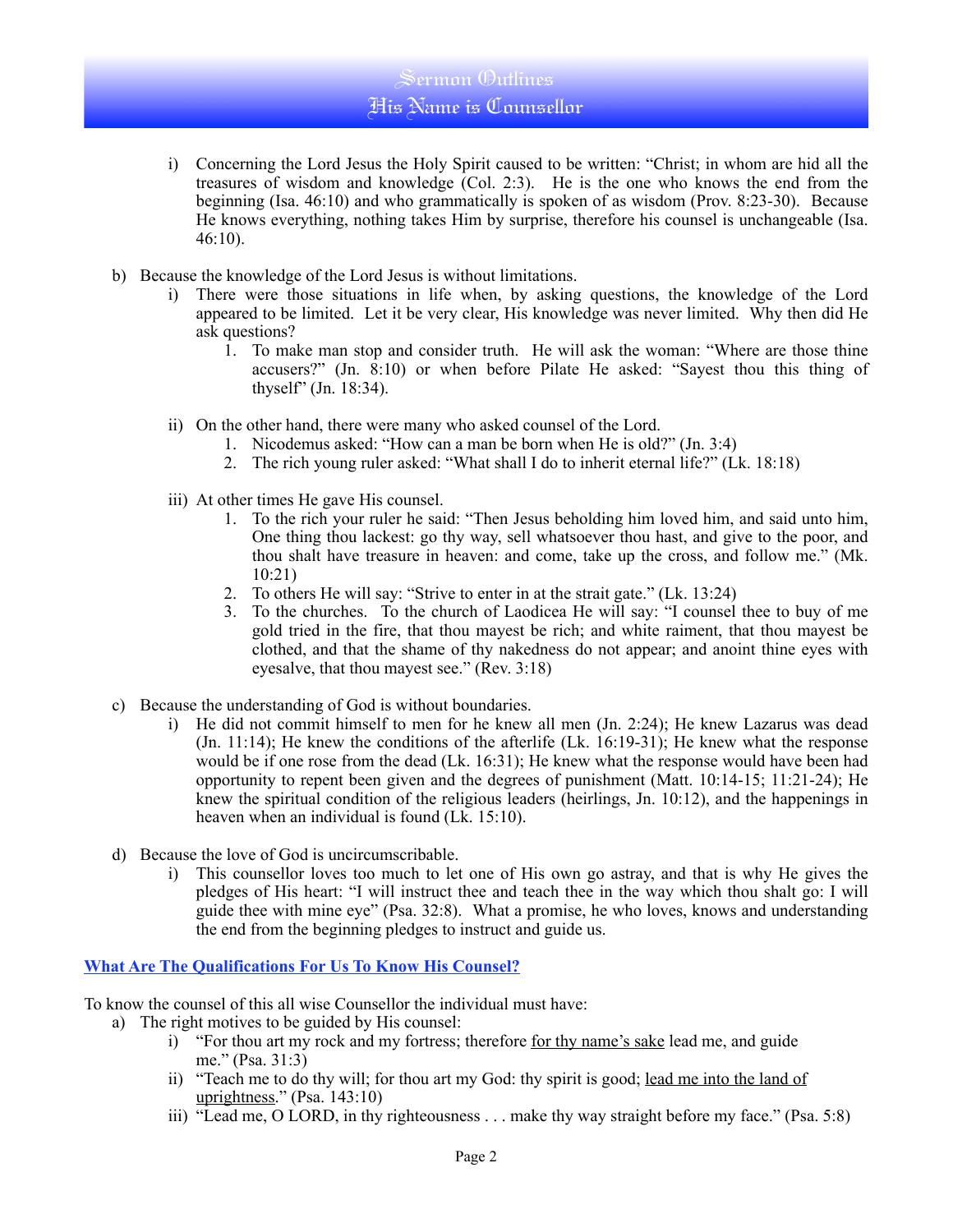# Sermon Outlines His Name is Counsellor

- i) Concerning the Lord Jesus the Holy Spirit caused to be written: "Christ; in whom are hid all the treasures of wisdom and knowledge (Col. 2:3). He is the one who knows the end from the beginning (Isa. 46:10) and who grammatically is spoken of as wisdom (Prov. 8:23-30). Because He knows everything, nothing takes Him by surprise, therefore his counsel is unchangeable (Isa.  $46:10$ ).
- b) Because the knowledge of the Lord Jesus is without limitations.
	- i) There were those situations in life when, by asking questions, the knowledge of the Lord appeared to be limited. Let it be very clear, His knowledge was never limited. Why then did He ask questions?
		- 1. To make man stop and consider truth. He will ask the woman: "Where are those thine accusers?" (Jn. 8:10) or when before Pilate He asked: "Sayest thou this thing of thyself" (Jn. 18:34).
	- ii) On the other hand, there were many who asked counsel of the Lord.
		- 1. Nicodemus asked: "How can a man be born when He is old?" (Jn. 3:4)
		- 2. The rich young ruler asked: "What shall I do to inherit eternal life?" (Lk. 18:18)
	- iii) At other times He gave His counsel.
		- 1. To the rich your ruler he said: "Then Jesus beholding him loved him, and said unto him, One thing thou lackest: go thy way, sell whatsoever thou hast, and give to the poor, and thou shalt have treasure in heaven: and come, take up the cross, and follow me." (Mk. 10:21)
		- 2. To others He will say: "Strive to enter in at the strait gate." (Lk. 13:24)
		- 3. To the churches. To the church of Laodicea He will say: "I counsel thee to buy of me gold tried in the fire, that thou mayest be rich; and white raiment, that thou mayest be clothed, and that the shame of thy nakedness do not appear; and anoint thine eyes with eyesalve, that thou mayest see." (Rev. 3:18)
- c) Because the understanding of God is without boundaries.
	- i) He did not commit himself to men for he knew all men (Jn. 2:24); He knew Lazarus was dead (Jn. 11:14); He knew the conditions of the afterlife (Lk. 16:19-31); He knew what the response would be if one rose from the dead (Lk. 16:31); He knew what the response would have been had opportunity to repent been given and the degrees of punishment (Matt. 10:14-15; 11:21-24); He knew the spiritual condition of the religious leaders (heirlings, Jn. 10:12), and the happenings in heaven when an individual is found (Lk. 15:10).
- d) Because the love of God is uncircumscribable.
	- i) This counsellor loves too much to let one of His own go astray, and that is why He gives the pledges of His heart: "I will instruct thee and teach thee in the way which thou shalt go: I will guide thee with mine eye" (Psa. 32:8). What a promise, he who loves, knows and understanding the end from the beginning pledges to instruct and guide us.

## **What Are The Qualifications For Us To Know His Counsel?**

To know the counsel of this all wise Counsellor the individual must have:

- a) The right motives to be guided by His counsel:
	- i) "For thou art my rock and my fortress; therefore for thy name's sake lead me, and guide me." (Psa. 31:3)
	- ii) "Teach me to do thy will; for thou art my God: thy spirit is good; lead me into the land of uprightness." (Psa. 143:10)
	- iii) "Lead me, O LORD, in thy righteousness . . . make thy way straight before my face." (Psa. 5:8)